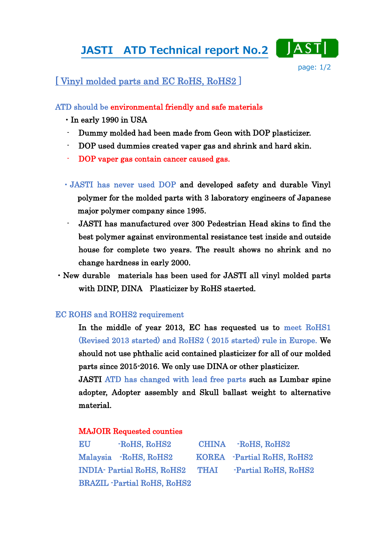# JASTI ATD Technical report No.2



# [ Vinyl molded parts and EC RoHS, RoHS2 ]

## ATD should be environmental friendly and safe materials

- ・In early 1990 in USA
- Dummy molded had been made from Geon with DOP plasticizer.
- DOP used dummies created vaper gas and shrink and hard skin.
- DOP vaper gas contain cancer caused gas.
- ・JASTI has never used DOP and developed safety and durable Vinyl polymer for the molded parts with 3 laboratory engineers of Japanese major polymer company since 1995.
- JASTI has manufactured over 300 Pedestrian Head skins to find the best polymer against environmental resistance test inside and outside house for complete two years. The result shows no shrink and no change hardness in early 2000.
- ・New durable materials has been used for JASTI all vinyl molded parts with DINP, DINA Plasticizer by RoHS staerted.

### EC ROHS and ROHS2 requirement

In the middle of year 2013, EC has requested us to meet RoHS1 (Revised 2013 started) and RoHS2 ( 2015 started) rule in Europe. We should not use phthalic acid contained plasticizer for all of our molded parts since 2015-2016. We only use DINA or other plasticizer.

JASTI ATD has changed with lead free parts such as Lumbar spine adopter, Adopter assembly and Skull ballast weight to alternative material.

### MAJOIR Requested counties

| EU | -RoHS, RoHS2                       |      | CHINA -RoHS, RoHS2         |
|----|------------------------------------|------|----------------------------|
|    | Malaysia RoHS, RoHS2               |      | KOREA -Partial RoHS, RoHS2 |
|    | <b>INDIA- Partial RoHS, RoHS2</b>  | THAI | -Partial RoHS, RoHS2       |
|    | <b>BRAZIL</b> -Partial RoHS, RoHS2 |      |                            |